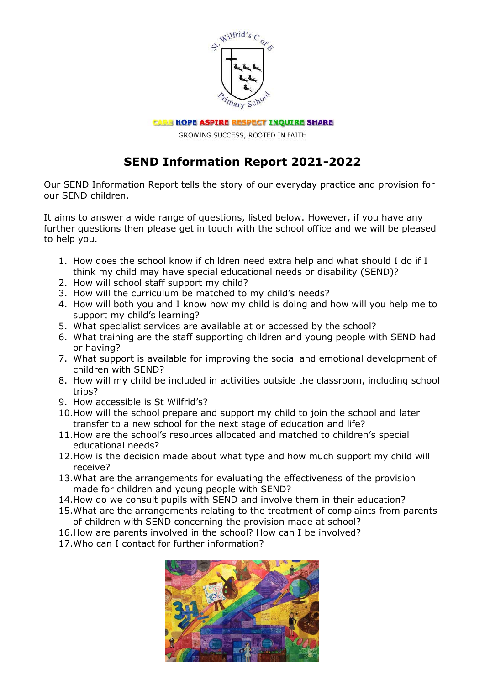

**CARB HOPE ASPIRE RESPECT INQUIRE SHARE** 

GROWING SUCCESS, ROOTED IN FAITH

# **SEND Information Report 2021-2022**

Our SEND Information Report tells the story of our everyday practice and provision for our SEND children.

It aims to answer a wide range of questions, listed below. However, if you have any further questions then please get in touch with the school office and we will be pleased to help you.

- 1. How does the school know if children need extra help and what should I do if I think my child may have special educational needs or disability (SEND)?
- 2. How will school staff support my child?
- 3. How will the curriculum be matched to my child's needs?
- 4. How will both you and I know how my child is doing and how will you help me to support my child's learning?
- 5. What specialist services are available at or accessed by the school?
- 6. What training are the staff supporting children and young people with SEND had or having?
- 7. What support is available for improving the social and emotional development of children with SEND?
- 8. How will my child be included in activities outside the classroom, including school trips?
- 9. How accessible is St Wilfrid's?
- 10.How will the school prepare and support my child to join the school and later transfer to a new school for the next stage of education and life?
- 11.How are the school's resources allocated and matched to children's special educational needs?
- 12.How is the decision made about what type and how much support my child will receive?
- 13.What are the arrangements for evaluating the effectiveness of the provision made for children and young people with SEND?
- 14.How do we consult pupils with SEND and involve them in their education?
- 15.What are the arrangements relating to the treatment of complaints from parents of children with SEND concerning the provision made at school?
- 16.How are parents involved in the school? How can I be involved?
- 17.Who can I contact for further information?

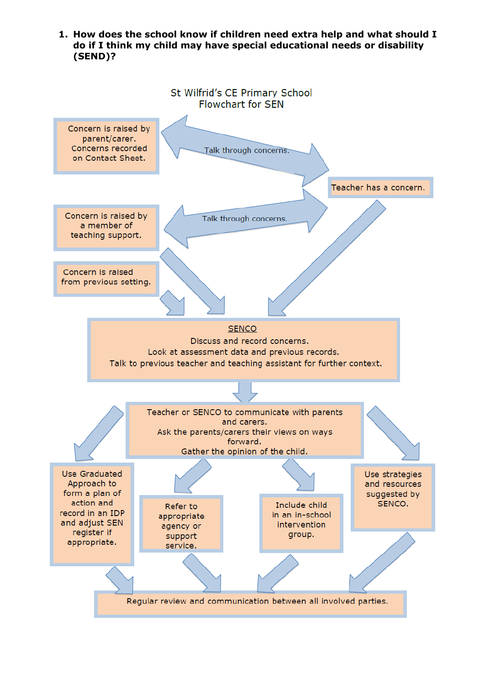

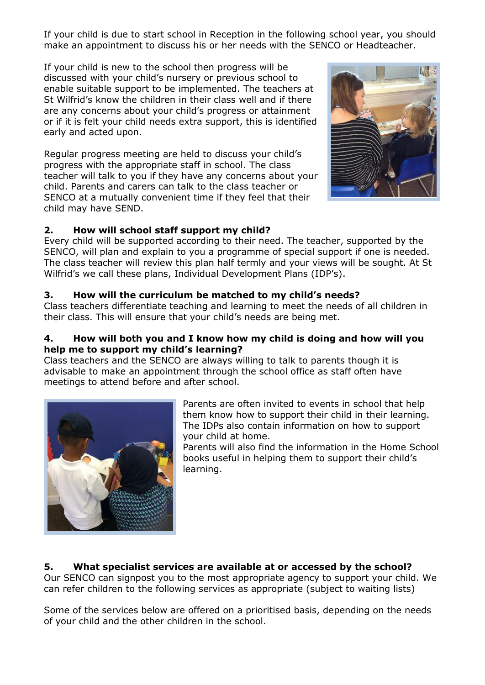If your child is due to start school in Reception in the following school year, you should make an appointment to discuss his or her needs with the SENCO or Headteacher.

If your child is new to the school then progress will be discussed with your child's nursery or previous school to enable suitable support to be implemented. The teachers at St Wilfrid's know the children in their class well and if there are any concerns about your child's progress or attainment or if it is felt your child needs extra support, this is identified early and acted upon.

Regular progress meeting are held to discuss your child's progress with the appropriate staff in school. The class teacher will talk to you if they have any concerns about your child. Parents and carers can talk to the class teacher or SENCO at a mutually convenient time if they feel that their child may have SEND.



# **2. How will school staff support my child?**

Every child will be supported according to their need. The teacher, supported by the SENCO, will plan and explain to you a programme of special support if one is needed. The class teacher will review this plan half termly and your views will be sought. At St Wilfrid's we call these plans, Individual Development Plans (IDP's).

# **3. How will the curriculum be matched to my child's needs?**

Class teachers differentiate teaching and learning to meet the needs of all children in their class. This will ensure that your child's needs are being met.

### **4. How will both you and I know how my child is doing and how will you help me to support my child's learning?**

Class teachers and the SENCO are always willing to talk to parents though it is advisable to make an appointment through the school office as staff often have meetings to attend before and after school.



Parents are often invited to events in school that help them know how to support their child in their learning. The IDPs also contain information on how to support your child at home.

Parents will also find the information in the Home School books useful in helping them to support their child's learning.

# **5. What specialist services are available at or accessed by the school?**

Our SENCO can signpost you to the most appropriate agency to support your child. We can refer children to the following services as appropriate (subject to waiting lists)

Some of the services below are offered on a prioritised basis, depending on the needs of your child and the other children in the school.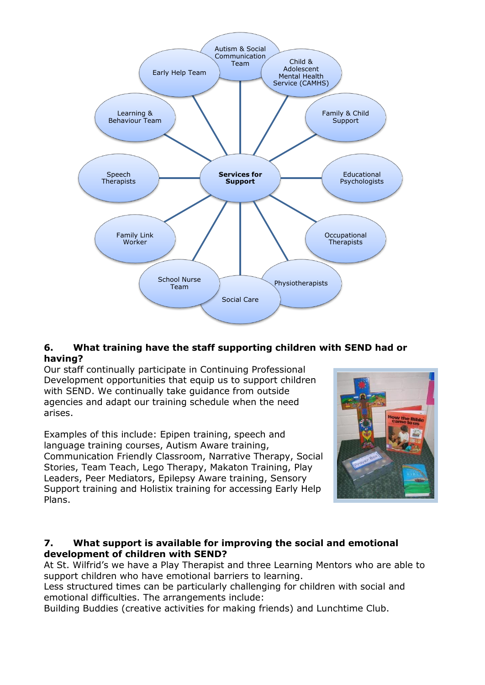

### **6. What training have the staff supporting children with SEND had or having?**

Our staff continually participate in Continuing Professional Development opportunities that equip us to support children with SEND. We continually take guidance from outside agencies and adapt our training schedule when the need arises.

Examples of this include: Epipen training, speech and language training courses, Autism Aware training, Communication Friendly Classroom, Narrative Therapy, Social Stories, Team Teach, Lego Therapy, Makaton Training, Play Leaders, Peer Mediators, Epilepsy Aware training, Sensory Support training and Holistix training for accessing Early Help Plans.



### **7. What support is available for improving the social and emotional development of children with SEND?**

At St. Wilfrid's we have a Play Therapist and three Learning Mentors who are able to support children who have emotional barriers to learning.

Less structured times can be particularly challenging for children with social and emotional difficulties. The arrangements include:

Building Buddies (creative activities for making friends) and Lunchtime Club.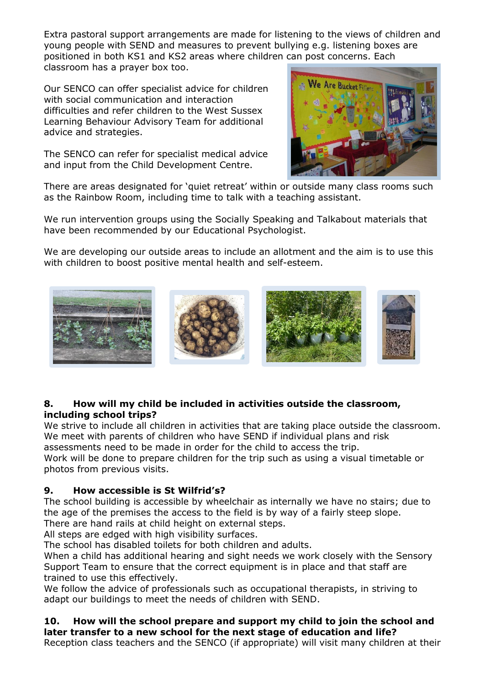Extra pastoral support arrangements are made for listening to the views of children and young people with SEND and measures to prevent bullying e.g. listening boxes are positioned in both KS1 and KS2 areas where children can post concerns. Each classroom has a prayer box too.

Our SENCO can offer specialist advice for children with social communication and interaction difficulties and refer children to the West Sussex Learning Behaviour Advisory Team for additional advice and strategies.

The SENCO can refer for specialist medical advice and input from the Child Development Centre.



There are areas designated for 'quiet retreat' within or outside many class rooms such as the Rainbow Room, including time to talk with a teaching assistant.

We run intervention groups using the Socially Speaking and Talkabout materials that have been recommended by our Educational Psychologist.

We are developing our outside areas to include an allotment and the aim is to use this with children to boost positive mental health and self-esteem.



### **8. How will my child be included in activities outside the classroom, including school trips?**

We strive to include all children in activities that are taking place outside the classroom. We meet with parents of children who have SEND if individual plans and risk assessments need to be made in order for the child to access the trip.

Work will be done to prepare children for the trip such as using a visual timetable or photos from previous visits.

## **9. How accessible is St Wilfrid's?**

The school building is accessible by wheelchair as internally we have no stairs; due to the age of the premises the access to the field is by way of a fairly steep slope. There are hand rails at child height on external steps.

All steps are edged with high visibility surfaces.

The school has disabled toilets for both children and adults.

When a child has additional hearing and sight needs we work closely with the Sensory Support Team to ensure that the correct equipment is in place and that staff are trained to use this effectively.

We follow the advice of professionals such as occupational therapists, in striving to adapt our buildings to meet the needs of children with SEND.

# **10. How will the school prepare and support my child to join the school and later transfer to a new school for the next stage of education and life?**

Reception class teachers and the SENCO (if appropriate) will visit many children at their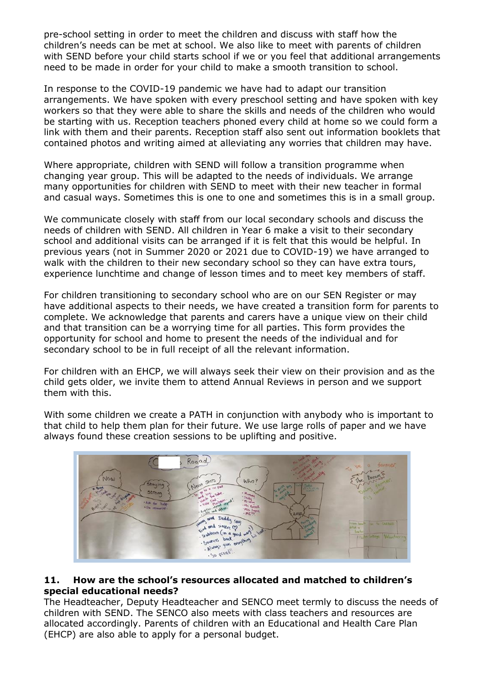pre-school setting in order to meet the children and discuss with staff how the children's needs can be met at school. We also like to meet with parents of children with SEND before your child starts school if we or you feel that additional arrangements need to be made in order for your child to make a smooth transition to school.

In response to the COVID-19 pandemic we have had to adapt our transition arrangements. We have spoken with every preschool setting and have spoken with key workers so that they were able to share the skills and needs of the children who would be starting with us. Reception teachers phoned every child at home so we could form a link with them and their parents. Reception staff also sent out information booklets that contained photos and writing aimed at alleviating any worries that children may have.

Where appropriate, children with SEND will follow a transition programme when changing year group. This will be adapted to the needs of individuals. We arrange many opportunities for children with SEND to meet with their new teacher in formal and casual ways. Sometimes this is one to one and sometimes this is in a small group.

We communicate closely with staff from our local secondary schools and discuss the needs of children with SEND. All children in Year 6 make a visit to their secondary school and additional visits can be arranged if it is felt that this would be helpful. In previous years (not in Summer 2020 or 2021 due to COVID-19) we have arranged to walk with the children to their new secondary school so they can have extra tours, experience lunchtime and change of lesson times and to meet key members of staff.

For children transitioning to secondary school who are on our SEN Register or may have additional aspects to their needs, we have created a transition form for parents to complete. We acknowledge that parents and carers have a unique view on their child and that transition can be a worrying time for all parties. This form provides the opportunity for school and home to present the needs of the individual and for secondary school to be in full receipt of all the relevant information.

For children with an EHCP, we will always seek their view on their provision and as the child gets older, we invite them to attend Annual Reviews in person and we support them with this.

With some children we create a PATH in conjunction with anybody who is important to that child to help them plan for their future. We use large rolls of paper and we have always found these creation sessions to be uplifting and positive.



### **11. How are the school's resources allocated and matched to children's special educational needs?**

The Headteacher, Deputy Headteacher and SENCO meet termly to discuss the needs of children with SEND. The SENCO also meets with class teachers and resources are allocated accordingly. Parents of children with an Educational and Health Care Plan (EHCP) are also able to apply for a personal budget.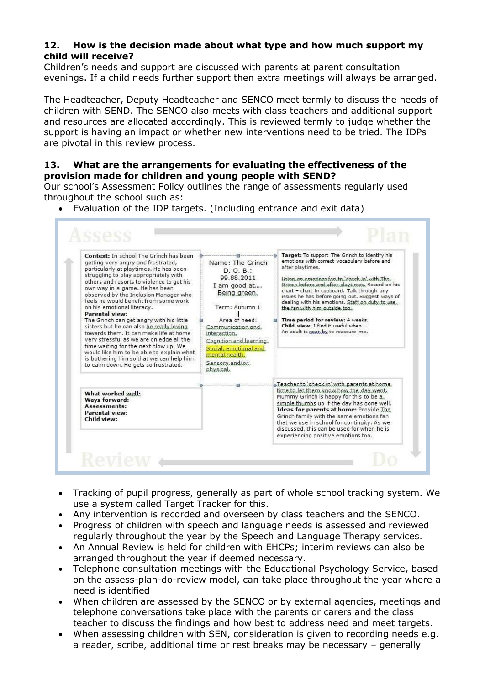### **12. How is the decision made about what type and how much support my child will receive?**

Children's needs and support are discussed with parents at parent consultation evenings. If a child needs further support then extra meetings will always be arranged.

The Headteacher, Deputy Headteacher and SENCO meet termly to discuss the needs of children with SEND. The SENCO also meets with class teachers and additional support and resources are allocated accordingly. This is reviewed termly to judge whether the support is having an impact or whether new interventions need to be tried. The IDPs are pivotal in this review process.

### **13. What are the arrangements for evaluating the effectiveness of the provision made for children and young people with SEND?**

Our school's Assessment Policy outlines the range of assessments regularly used throughout the school such as:

• Evaluation of the IDP targets. (Including entrance and exit data)

| Context: In school The Grinch has been<br>getting very angry and frustrated,<br>particularly at playtimes. He has been<br>struggling to play appropriately with<br>others and resorts to violence to get his<br>own way in a game. He has been<br>observed by the Inclusion Manager who<br>feels he would benefit from some work<br>on his emotional literacy.<br><b>Parental view:</b><br>The Grinch can get angry with his little<br>sisters but he can also be really loving<br>towards them. It can make life at home<br>very stressful as we are on edge all the<br>time waiting for the next blow up. We<br>would like him to be able to explain what<br>is bothering him so that we can help him<br>to calm down. He gets so frustrated. | Name: The Grinch<br>D. O. B.:<br>99.88.2011<br>I am good at<br>Being green.<br>Term: Autumn 1<br>Area of need:<br>Communication and<br>interaction.<br>Cognition and learning.<br>Social, emotional and<br>mental health.<br>Sensory and/or.<br>physical. | Target: To support The Grinch to identify his<br>emotions with correct vocabulary before and<br>after playtimes.<br>Using an emotions fan to 'check in' with The<br>Grinch before and after playtimes. Record on his<br>chart - chart in cupboard. Talk through any<br>issues he has before going out. Suggest ways of<br>dealing with his emotions. Staff on duty to use.<br>the fan with him outside too.<br>Time period for review: 4 weeks.<br>Child view: I find it useful when<br>An adult is near, by to reassure me. |
|-------------------------------------------------------------------------------------------------------------------------------------------------------------------------------------------------------------------------------------------------------------------------------------------------------------------------------------------------------------------------------------------------------------------------------------------------------------------------------------------------------------------------------------------------------------------------------------------------------------------------------------------------------------------------------------------------------------------------------------------------|-----------------------------------------------------------------------------------------------------------------------------------------------------------------------------------------------------------------------------------------------------------|------------------------------------------------------------------------------------------------------------------------------------------------------------------------------------------------------------------------------------------------------------------------------------------------------------------------------------------------------------------------------------------------------------------------------------------------------------------------------------------------------------------------------|
| What worked well:<br>Ways forward:<br>Assessments:<br><b>Parental view:</b><br>Child view:                                                                                                                                                                                                                                                                                                                                                                                                                                                                                                                                                                                                                                                      |                                                                                                                                                                                                                                                           | Teacher to 'check in' with parents at home.<br>time to let them know how the day went.<br>Mummy Grinch is happy for this to be a<br>simple thumbs up if the day has gone well.<br>Ideas for parents at home: Provide The<br>Grinch family with the same emotions fan<br>that we use in school for continuity. As we<br>discussed, this can be used for when he is<br>experiencing positive emotions too.                                                                                                                     |

- Tracking of pupil progress, generally as part of whole school tracking system. We use a system called Target Tracker for this.
- Any intervention is recorded and overseen by class teachers and the SENCO.
- Progress of children with speech and language needs is assessed and reviewed regularly throughout the year by the Speech and Language Therapy services.
- An Annual Review is held for children with EHCPs; interim reviews can also be arranged throughout the year if deemed necessary.
- Telephone consultation meetings with the Educational Psychology Service, based on the assess-plan-do-review model, can take place throughout the year where a need is identified
- When children are assessed by the SENCO or by external agencies, meetings and telephone conversations take place with the parents or carers and the class teacher to discuss the findings and how best to address need and meet targets.
- When assessing children with SEN, consideration is given to recording needs e.g. a reader, scribe, additional time or rest breaks may be necessary – generally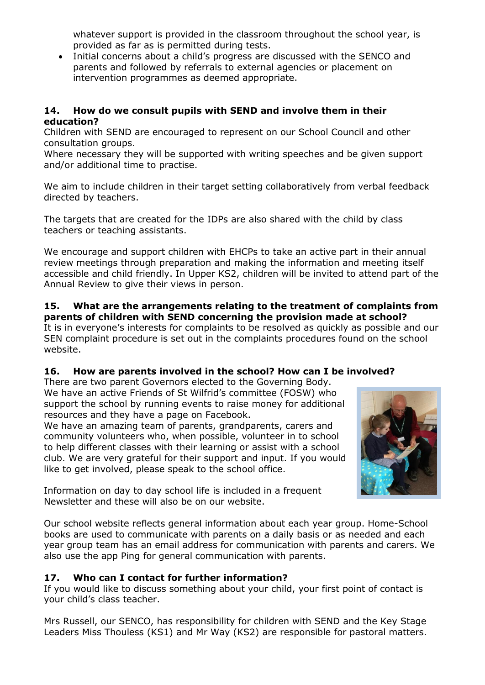whatever support is provided in the classroom throughout the school year, is provided as far as is permitted during tests.

• Initial concerns about a child's progress are discussed with the SENCO and parents and followed by referrals to external agencies or placement on intervention programmes as deemed appropriate.

### **14. How do we consult pupils with SEND and involve them in their education?**

Children with SEND are encouraged to represent on our School Council and other consultation groups.

Where necessary they will be supported with writing speeches and be given support and/or additional time to practise.

We aim to include children in their target setting collaboratively from verbal feedback directed by teachers.

The targets that are created for the IDPs are also shared with the child by class teachers or teaching assistants.

We encourage and support children with EHCPs to take an active part in their annual review meetings through preparation and making the information and meeting itself accessible and child friendly. In Upper KS2, children will be invited to attend part of the Annual Review to give their views in person.

#### **15. What are the arrangements relating to the treatment of complaints from parents of children with SEND concerning the provision made at school?**

It is in everyone's interests for complaints to be resolved as quickly as possible and our SEN complaint procedure is set out in the complaints procedures found on the school website.

## **16. How are parents involved in the school? How can I be involved?**

There are two parent Governors elected to the Governing Body. We have an active Friends of St Wilfrid's committee (FOSW) who support the school by running events to raise money for additional resources and they have a page on Facebook.

We have an amazing team of parents, grandparents, carers and community volunteers who, when possible, volunteer in to school to help different classes with their learning or assist with a school club. We are very grateful for their support and input. If you would like to get involved, please speak to the school office.



Information on day to day school life is included in a frequent Newsletter and these will also be on our website.

Our school website reflects general information about each year group. Home-School books are used to communicate with parents on a daily basis or as needed and each year group team has an email address for communication with parents and carers. We also use the app Ping for general communication with parents.

## **17. Who can I contact for further information?**

If you would like to discuss something about your child, your first point of contact is your child's class teacher.

Mrs Russell, our SENCO, has responsibility for children with SEND and the Key Stage Leaders Miss Thouless (KS1) and Mr Way (KS2) are responsible for pastoral matters.